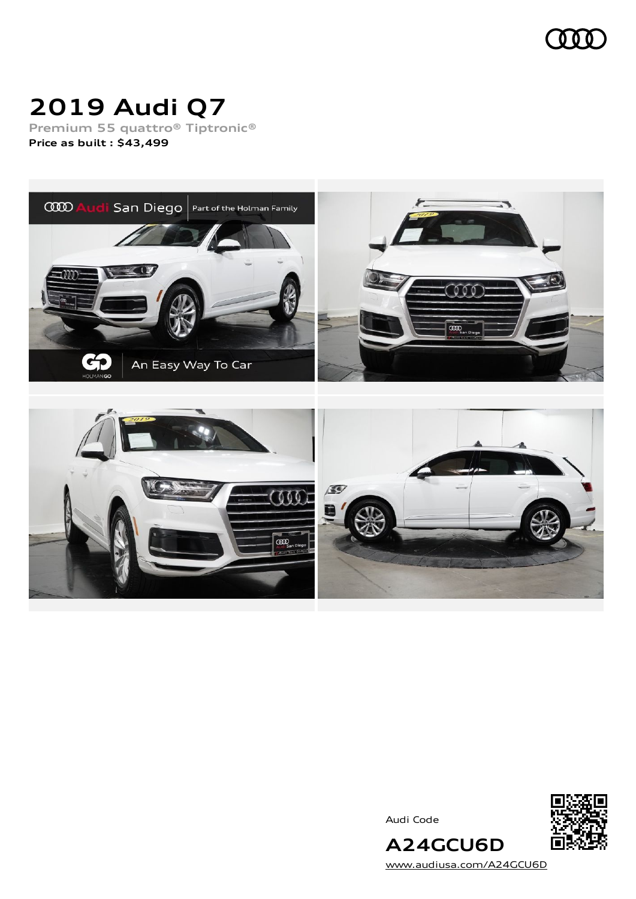

# **2019 Audi Q7**

**Premium 55 quattro® Tiptronic® Price as built [:](#page-10-0) \$43,499**



Audi Code



[www.audiusa.com/A24GCU6D](https://www.audiusa.com/A24GCU6D)

**A24GCU6D**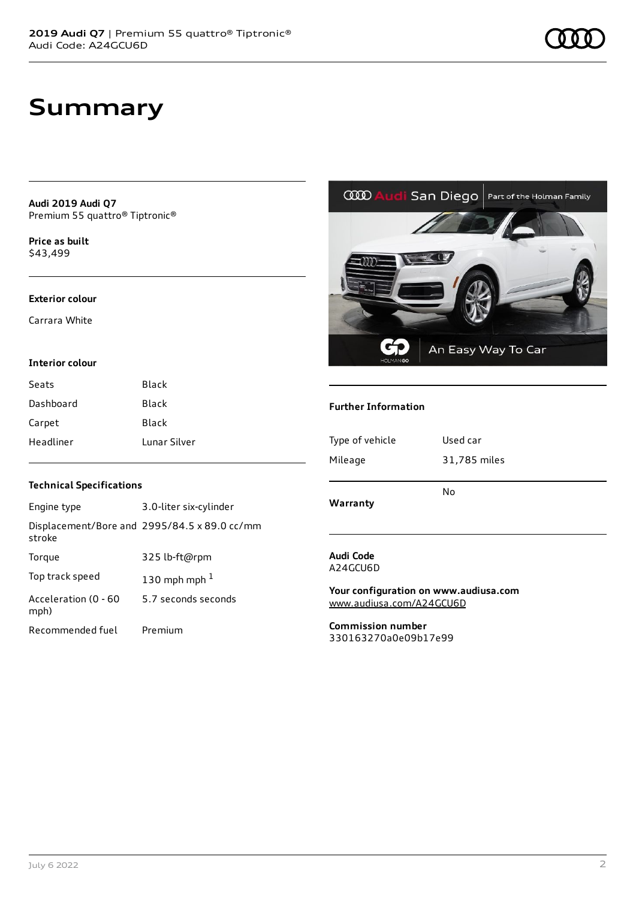### **Summary**

**Audi 2019 Audi Q7** Premium 55 quattro® Tiptronic®

**Price as buil[t](#page-10-0)** \$43,499

#### **Exterior colour**

Carrara White

#### **Interior colour**

| Seats     | Black        |
|-----------|--------------|
| Dashboard | Black        |
| Carpet    | Black        |
| Headliner | Lunar Silver |

### **Technical Specifications**

| Engine type                  | 3.0-liter six-cylinder                       |
|------------------------------|----------------------------------------------|
| stroke                       | Displacement/Bore and 2995/84.5 x 89.0 cc/mm |
| Torque                       | 325 lb-ft@rpm                                |
| Top track speed              | 130 mph mph $1$                              |
| Acceleration (0 - 60<br>mph) | 5.7 seconds seconds                          |
| Recommended fuel             | Premium                                      |

San Diego

An Easy Way To Car

#### **Further Information**

**COD Aud** 

| Type of vehicle | Used car     |
|-----------------|--------------|
| Mileage         | 31,785 miles |
| Warranty        | No           |

#### **Audi Code** A24GCU6D

**Your configuration on www.audiusa.com** [www.audiusa.com/A24GCU6D](https://www.audiusa.com/A24GCU6D)

**Commission number** 330163270a0e09b17e99



Part of the Holman Family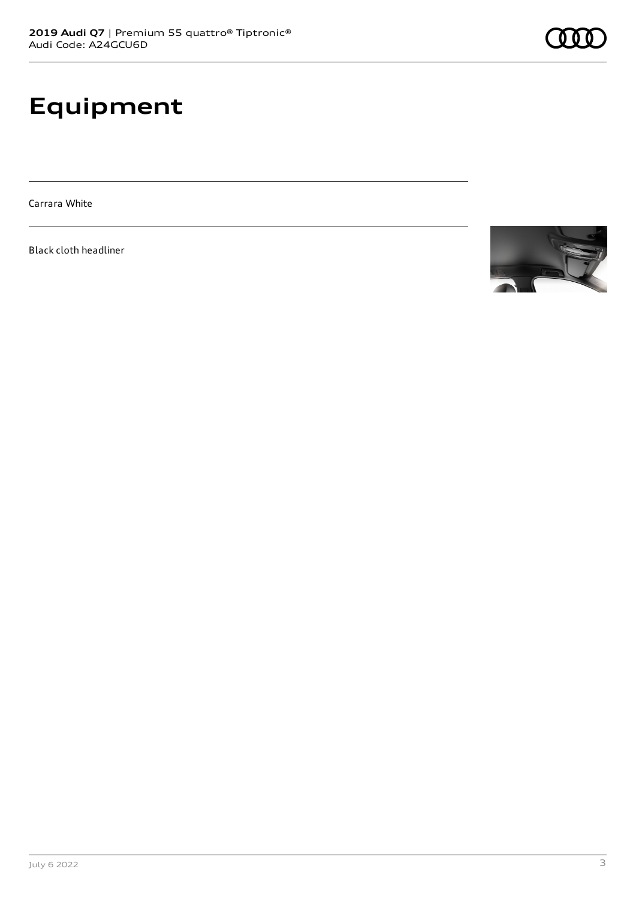# **Equipment**

Carrara White

Black cloth headliner

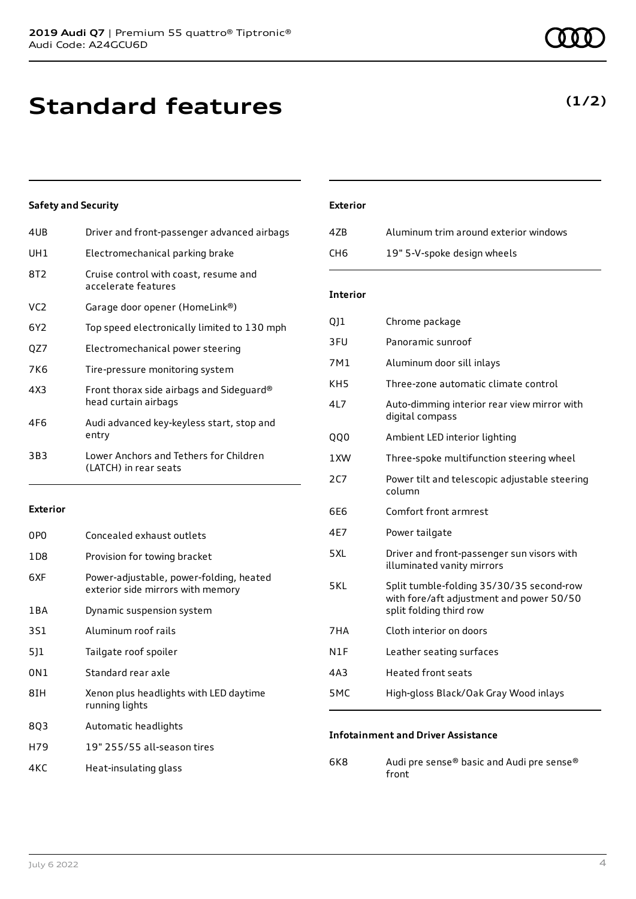# **Standard features**

### **Safety and Security**

| 4UB             | Driver and front-passenger advanced airbags                      |
|-----------------|------------------------------------------------------------------|
| UH1             | Electromechanical parking brake                                  |
| 8T2             | Cruise control with coast, resume and<br>accelerate features     |
| VC <sub>2</sub> | Garage door opener (HomeLink®)                                   |
| 6Y2             | Top speed electronically limited to 130 mph                      |
| QZ7             | Electromechanical power steering                                 |
| 7K6             | Tire-pressure monitoring system                                  |
| 4X3             | Front thorax side airbags and Sideguard®<br>head curtain airbags |
| 4F6             | Audi advanced key-keyless start, stop and<br>entry               |
| 3B3             | Lower Anchors and Tethers for Children<br>(LATCH) in rear seats  |
|                 |                                                                  |

### **Exterior**

| 0PO   | Concealed exhaust outlets                                                    |
|-------|------------------------------------------------------------------------------|
| 1D8   | Provision for towing bracket                                                 |
| 6XF   | Power-adjustable, power-folding, heated<br>exterior side mirrors with memory |
| 1 B A | Dynamic suspension system                                                    |
| 3S1   | Aluminum roof rails                                                          |
| 511   | Tailgate roof spoiler                                                        |
| 0N1   | Standard rear axle                                                           |
| 8TH   | Xenon plus headlights with LED daytime<br>running lights                     |
| 803   | Automatic headlights                                                         |
| H79   | 19" 255/55 all-season tires                                                  |

### 4KC Heat-insulating glass

### **Exterior**

| 4ZB. | Aluminum trim around exterior windows |
|------|---------------------------------------|
| CH6  | 19" 5-V-spoke design wheels           |

### **Interior**

| QJ1 | Chrome package                                                                                                  |
|-----|-----------------------------------------------------------------------------------------------------------------|
| 3FU | Panoramic sunroof                                                                                               |
| 7M1 | Aluminum door sill inlays                                                                                       |
| KH5 | Three-zone automatic climate control                                                                            |
| 4L7 | Auto-dimming interior rear view mirror with<br>digital compass                                                  |
| QQ0 | Ambient LED interior lighting                                                                                   |
| 1XW | Three-spoke multifunction steering wheel                                                                        |
| 2C7 | Power tilt and telescopic adjustable steering<br>column                                                         |
| 6E6 | Comfort front armrest                                                                                           |
| 4E7 | Power tailgate                                                                                                  |
| 5XL | Driver and front-passenger sun visors with<br>illuminated vanity mirrors                                        |
| 5KL | Split tumble-folding 35/30/35 second-row<br>with fore/aft adjustment and power 50/50<br>split folding third row |
| 7HA | Cloth interior on doors                                                                                         |
| N1F | Leather seating surfaces                                                                                        |
| 4A3 | <b>Heated front seats</b>                                                                                       |
| 5MC | High-gloss Black/Oak Gray Wood inlays                                                                           |

#### **Infotainment and Driver Assistance**

6K8 Audi pre sense® basic and Audi pre sense® front

### **(1/2)**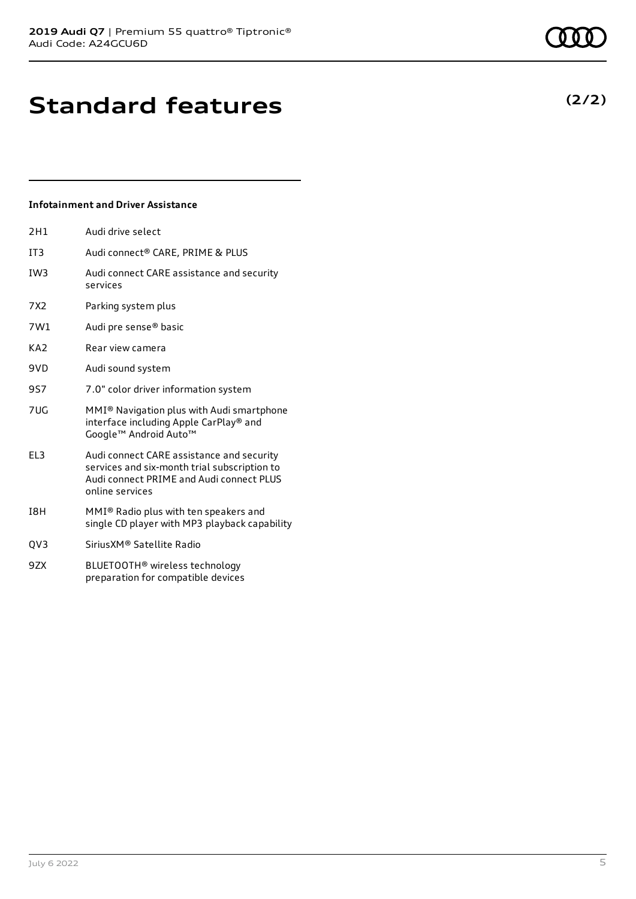# **Standard features**

### **Infotainment and Driver Assistance**

| 2H1             | Audi drive select                                                                                                                                        |
|-----------------|----------------------------------------------------------------------------------------------------------------------------------------------------------|
| IT3             | Audi connect® CARE, PRIME & PLUS                                                                                                                         |
| IW3             | Audi connect CARE assistance and security<br>services                                                                                                    |
| 7X2             | Parking system plus                                                                                                                                      |
| 7W1             | Audi pre sense <sup>®</sup> basic                                                                                                                        |
| KA <sub>2</sub> | Rear view camera                                                                                                                                         |
| 9VD             | Audi sound system                                                                                                                                        |
| 9S7             | 7.0" color driver information system                                                                                                                     |
| 7UG             | MMI <sup>®</sup> Navigation plus with Audi smartphone<br>interface including Apple CarPlay® and<br>Google™ Android Auto™                                 |
| EL3             | Audi connect CARE assistance and security<br>services and six-month trial subscription to<br>Audi connect PRIME and Audi connect PLUS<br>online services |
| I8H             | MMI® Radio plus with ten speakers and<br>single CD player with MP3 playback capability                                                                   |
| QV3             | Sirius XM <sup>®</sup> Satellite Radio                                                                                                                   |
| 9ZX             | BLUETOOTH <sup>®</sup> wireless technology<br>preparation for compatible devices                                                                         |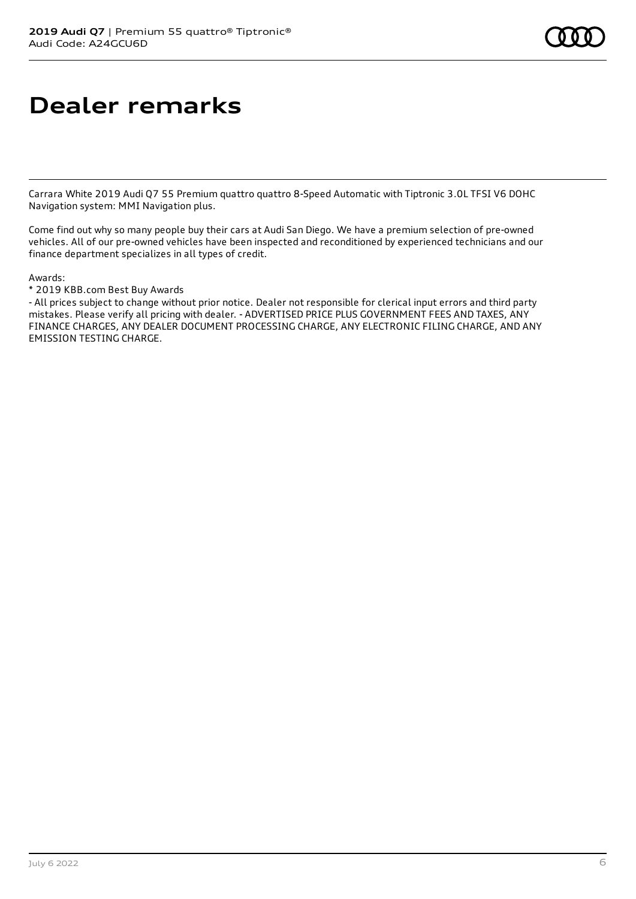# **Dealer remarks**

Carrara White 2019 Audi Q7 55 Premium quattro quattro 8-Speed Automatic with Tiptronic 3.0L TFSI V6 DOHC Navigation system: MMI Navigation plus.

Come find out why so many people buy their cars at Audi San Diego. We have a premium selection of pre-owned vehicles. All of our pre-owned vehicles have been inspected and reconditioned by experienced technicians and our finance department specializes in all types of credit.

Awards:

\* 2019 KBB.com Best Buy Awards

- All prices subject to change without prior notice. Dealer not responsible for clerical input errors and third party mistakes. Please verify all pricing with dealer. - ADVERTISED PRICE PLUS GOVERNMENT FEES AND TAXES, ANY FINANCE CHARGES, ANY DEALER DOCUMENT PROCESSING CHARGE, ANY ELECTRONIC FILING CHARGE, AND ANY EMISSION TESTING CHARGE.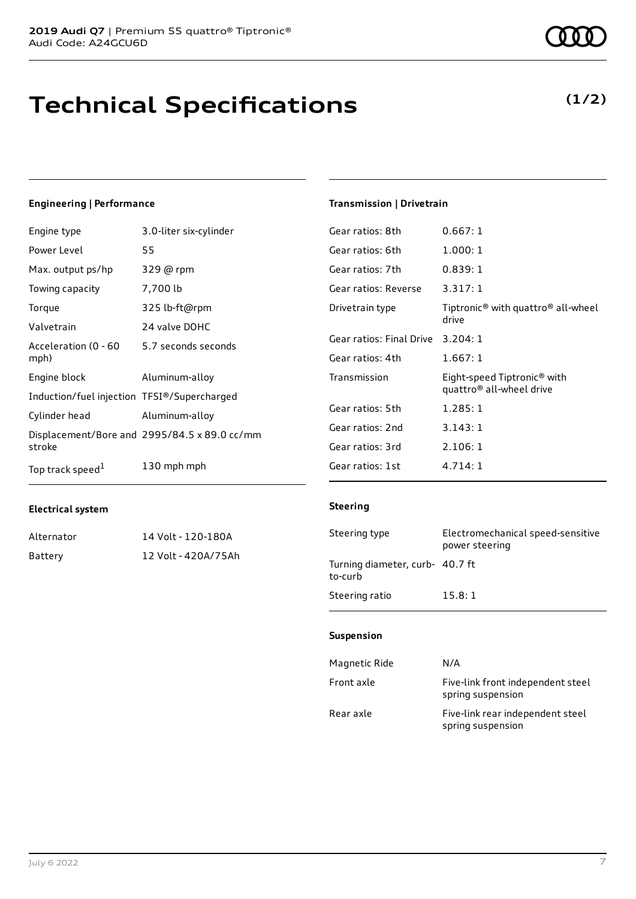### **Technical Specifications**

#### **Engineering | Performance**

| Engine type                                 | 3.0-liter six-cylinder                       |
|---------------------------------------------|----------------------------------------------|
| Power Level                                 | 55                                           |
| Max. output ps/hp                           | 329 @ rpm                                    |
| Towing capacity                             | 7,700 lb                                     |
| Torque                                      | 325 lb-ft@rpm                                |
| Valvetrain                                  | 24 valve DOHC                                |
| Acceleration (0 - 60<br>mph)                | 5.7 seconds seconds                          |
| Engine block                                | Aluminum-alloy                               |
| Induction/fuel injection TFSI®/Supercharged |                                              |
| Cylinder head                               | Aluminum-alloy                               |
| stroke                                      | Displacement/Bore and 2995/84.5 x 89.0 cc/mm |
| Top track speed <sup>1</sup>                | 130 mph mph                                  |

#### **Electrical system**

| Alternator | 14 Volt - 120-180A  |
|------------|---------------------|
| Battery    | 12 Volt - 420A/75Ah |

### **Transmission | Drivetrain**

| Gear ratios: 8th         | 0.667:1                                                             |
|--------------------------|---------------------------------------------------------------------|
| Gear ratios: 6th         | 1.000:1                                                             |
| Gear ratios: 7th         | 0.839:1                                                             |
| Gear ratios: Reverse     | 3.317:1                                                             |
| Drivetrain type          | Tiptronic <sup>®</sup> with quattro <sup>®</sup> all-wheel<br>drive |
| Gear ratios: Final Drive | 3.204:1                                                             |
| Gear ratios: 4th         | 1.667:1                                                             |
| Transmission             | Eight-speed Tiptronic <sup>®</sup> with<br>quattro® all-wheel drive |
| Gear ratios: 5th         | 1.285:1                                                             |
| Gear ratios: 2nd         | 3.143:1                                                             |
| Gear ratios: 3rd         | 2.106:1                                                             |
| Gear ratios: 1st         | 4.714:1                                                             |

#### **Steering**

| Steering type                              | Electromechanical speed-sensitive<br>power steering |
|--------------------------------------------|-----------------------------------------------------|
| Turning diameter, curb- 40.7 ft<br>to-curb |                                                     |
| Steering ratio                             | 15.8:1                                              |

### **Suspension**

| Magnetic Ride | N/A                                                    |
|---------------|--------------------------------------------------------|
| Front axle    | Five-link front independent steel<br>spring suspension |
| Rear axle     | Five-link rear independent steel<br>spring suspension  |

### **(1/2)**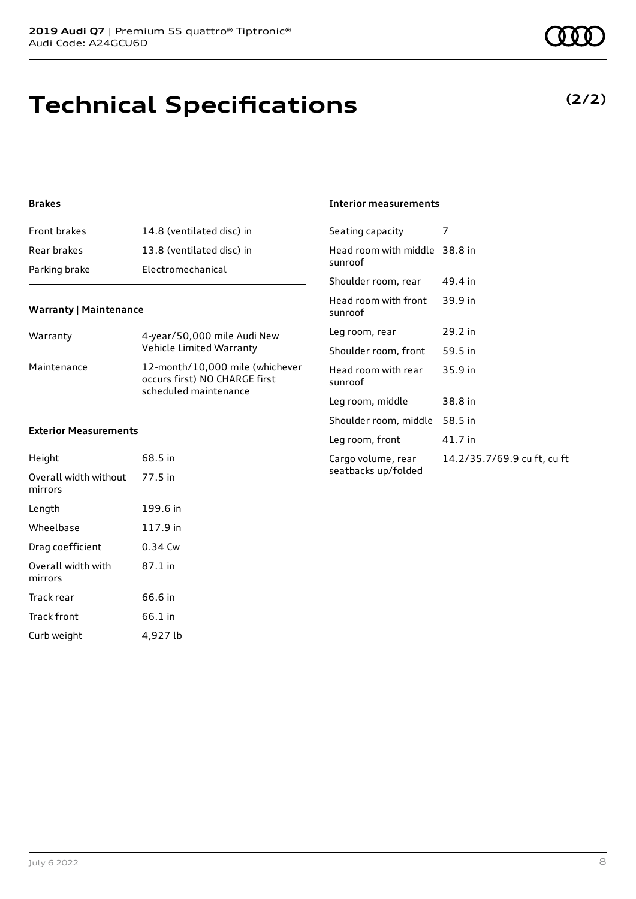### **Technical Specifications**

### **(2/2)**

### **Brakes**

| <b>Front brakes</b> | 14.8 (ventilated disc) in |
|---------------------|---------------------------|
| Rear brakes         | 13.8 (ventilated disc) in |
| Parking brake       | Electromechanical         |

### **Warranty | Maintenance**

| Warranty    | 4-year/50,000 mile Audi New<br>Vehicle Limited Warranty                                   |
|-------------|-------------------------------------------------------------------------------------------|
| Maintenance | 12-month/10,000 mile (whichever<br>occurs first) NO CHARGE first<br>scheduled maintenance |

#### **Exterior Measurements**

| Height                           | 68.5 in   |
|----------------------------------|-----------|
| Overall width without<br>mirrors | 77.5 in   |
| Length                           | 199.6 in  |
| Wheelbase                        | 117.9 in  |
| Drag coefficient                 | $0.34$ Cw |
| Overall width with<br>mirrors    | 87.1 in   |
| Track rear                       | 66.6 in   |
| Track front                      | 66.1 in   |
| Curb weight                      | 4,927 lb  |

### **Interior measurements**

| Seating capacity                          | 7                           |
|-------------------------------------------|-----------------------------|
| Head room with middle 38.8 in<br>sunroof  |                             |
| Shoulder room, rear                       | 49.4 in                     |
| Head room with front<br>sunroof           | 39.9 in                     |
| Leg room, rear                            | 29.2 in                     |
| Shoulder room, front                      | 59.5 in                     |
| Head room with rear<br>sunroof            | 35.9 in                     |
| Leg room, middle                          | 38.8 in                     |
| Shoulder room, middle                     | 58.5 in                     |
| Leg room, front                           | 41.7 in                     |
| Cargo volume, rear<br>seatbacks up/folded | 14.2/35.7/69.9 cu ft, cu ft |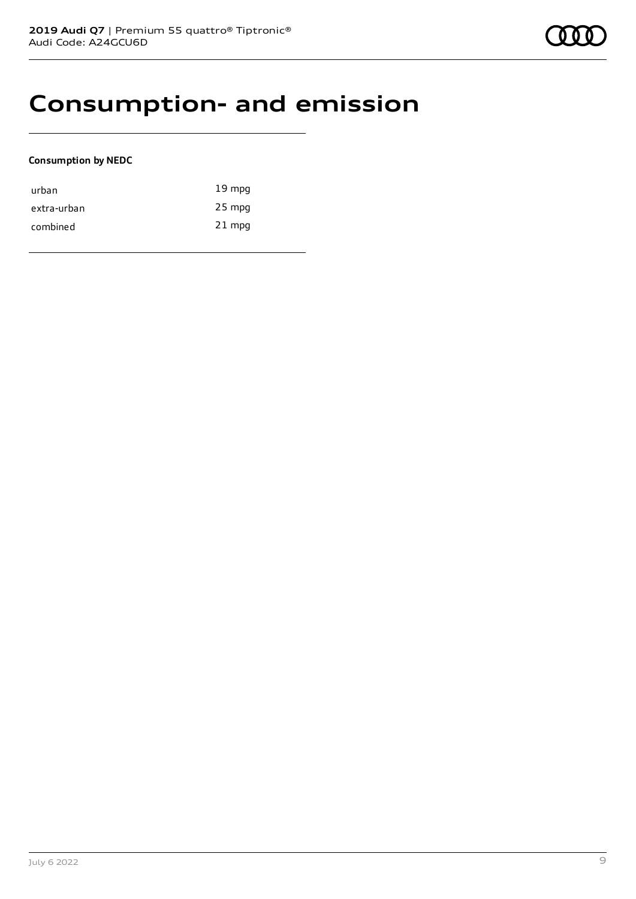### **Consumption- and emission**

### **Consumption by NEDC**

| urban       | $19 \text{ mpg}$ |
|-------------|------------------|
| extra-urban | 25 mpg           |
| combined    | $21$ mpg         |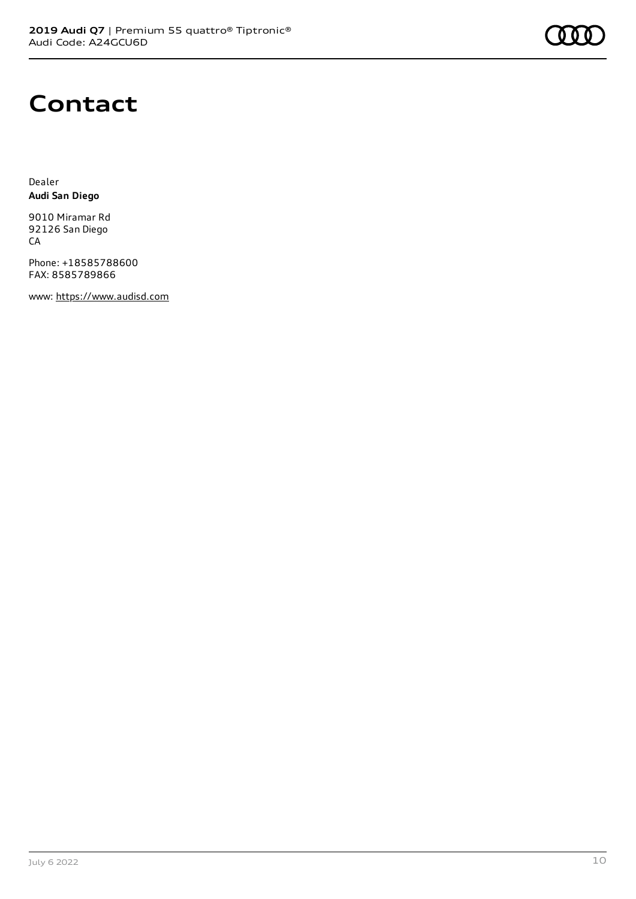# **Contact**

Dealer **Audi San Diego**

9010 Miramar Rd 92126 San Diego CA

Phone: +18585788600 FAX: 8585789866

www: [https://www.audisd.com](https://www.audisd.com/)